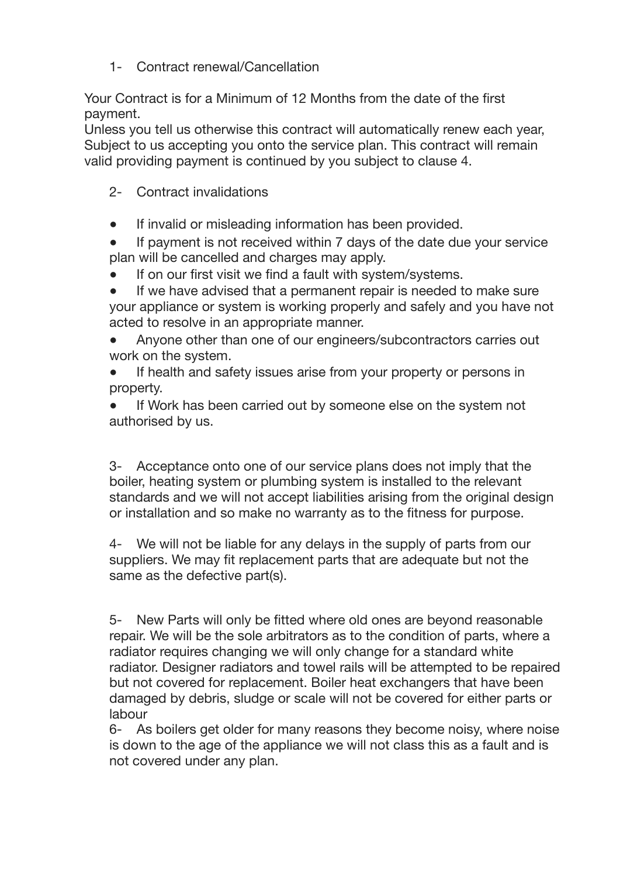1- Contract renewal/Cancellation

Your Contract is for a Minimum of 12 Months from the date of the first payment.

Unless you tell us otherwise this contract will automatically renew each year, Subject to us accepting you onto the service plan. This contract will remain valid providing payment is continued by you subject to clause 4.

- 2- Contract invalidations
- If invalid or misleading information has been provided.
- If payment is not received within 7 days of the date due your service plan will be cancelled and charges may apply.
- If on our first visit we find a fault with system/systems.
- If we have advised that a permanent repair is needed to make sure your appliance or system is working properly and safely and you have not acted to resolve in an appropriate manner.
- Anyone other than one of our engineers/subcontractors carries out work on the system.
- If health and safety issues arise from your property or persons in property.

● If Work has been carried out by someone else on the system not authorised by us.

3- Acceptance onto one of our service plans does not imply that the boiler, heating system or plumbing system is installed to the relevant standards and we will not accept liabilities arising from the original design or installation and so make no warranty as to the fitness for purpose.

4- We will not be liable for any delays in the supply of parts from our suppliers. We may fit replacement parts that are adequate but not the same as the defective part(s).

5- New Parts will only be fitted where old ones are beyond reasonable repair. We will be the sole arbitrators as to the condition of parts, where a radiator requires changing we will only change for a standard white radiator. Designer radiators and towel rails will be attempted to be repaired but not covered for replacement. Boiler heat exchangers that have been damaged by debris, sludge or scale will not be covered for either parts or labour

6- As boilers get older for many reasons they become noisy, where noise is down to the age of the appliance we will not class this as a fault and is not covered under any plan.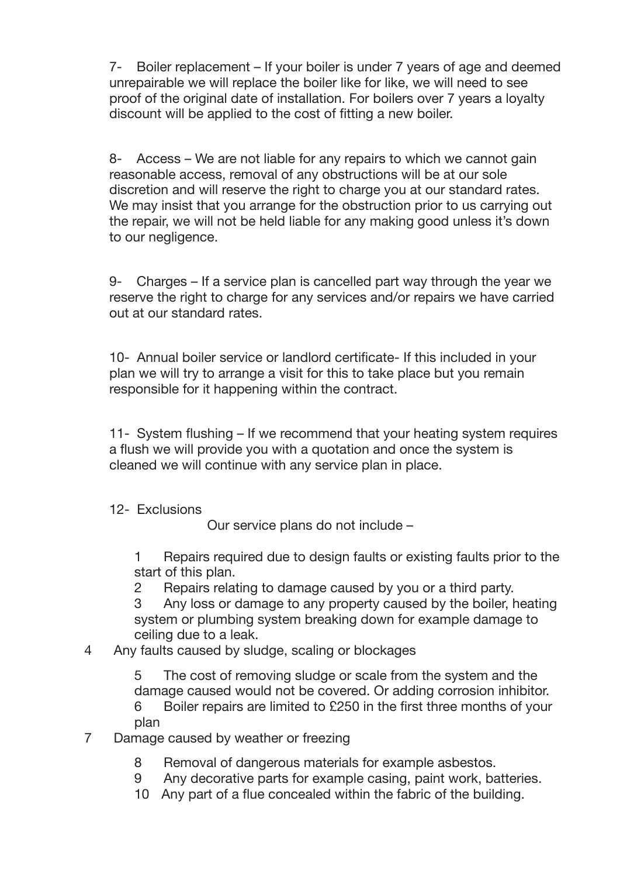7- Boiler replacement – If your boiler is under 7 years of age and deemed unrepairable we will replace the boiler like for like, we will need to see proof of the original date of installation. For boilers over 7 years a loyalty discount will be applied to the cost of fitting a new boiler.

8- Access – We are not liable for any repairs to which we cannot gain reasonable access, removal of any obstructions will be at our sole discretion and will reserve the right to charge you at our standard rates. We may insist that you arrange for the obstruction prior to us carrying out the repair, we will not be held liable for any making good unless it's down to our negligence.

9- Charges – If a service plan is cancelled part way through the year we reserve the right to charge for any services and/or repairs we have carried out at our standard rates.

10- Annual boiler service or landlord certificate- If this included in your plan we will try to arrange a visit for this to take place but you remain responsible for it happening within the contract.

11- System flushing – If we recommend that your heating system requires a flush we will provide you with a quotation and once the system is cleaned we will continue with any service plan in place.

## 12- Exclusions

Our service plans do not include –

1 Repairs required due to design faults or existing faults prior to the start of this plan.

2 Repairs relating to damage caused by you or a third party.

3 Any loss or damage to any property caused by the boiler, heating system or plumbing system breaking down for example damage to ceiling due to a leak.

## 4 Any faults caused by sludge, scaling or blockages

5 The cost of removing sludge or scale from the system and the damage caused would not be covered. Or adding corrosion inhibitor.

6 Boiler repairs are limited to £250 in the first three months of your plan

- 7 Damage caused by weather or freezing
	- 8 Removal of dangerous materials for example asbestos.
	- 9 Any decorative parts for example casing, paint work, batteries.
	- 10 Any part of a flue concealed within the fabric of the building.